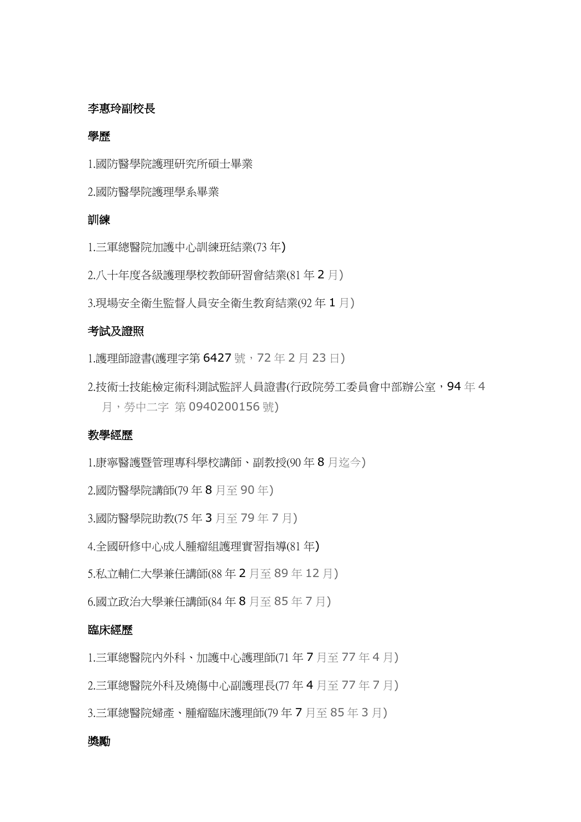## 李惠玲副校長

### 學歷

1.國防醫學院護理研究所碩士畢業

2.國防醫學院護理學系畢業

## 訓練

1.三軍總醫院加護中心訓練班結業(73 年)

2.八十年度各級護理學校教師研習會結業(81 年 2 月)

3.現場安全衛生監督人員安全衛生教育結業(92 年 1 月)

## 考試及證照

1.護理師證書(護理字第 6427 號, 72年2月23日)

2.技術士技能檢定術科測試監評人員證書(行政院勞工委員會中部辦公室,94年4 月,勞中二字 第 0940200156 號)

# 教學經歷

1.康寧醫護暨管理專科學校講師、副教授(90 年 8 月迄今)

2.國防醫學院講師(79 年 8 月至 90 年)

3.國防醫學院助教(75 年 3 月至 79 年 7 月)

4.全國研修中心成人腫瘤組護理實習指導(81 年)

5.私立輔仁大學兼任講師(88 年 2 月至 89 年 12 月)

6.國立政治大學兼任講師(84 年 8 月至 85 年 7 月)

#### 臨床經歷

1.三軍總醫院內外科、加護中心護理師(71 年 7 月至 77 年 4 月)

2.三軍總醫院外科及燒傷中心副護理長(77 年 4 月至 77 年 7 月)

3.三軍總醫院婦產、腫瘤臨床護理師(79 年 7 月至 85 年 3 月)

#### 獎勵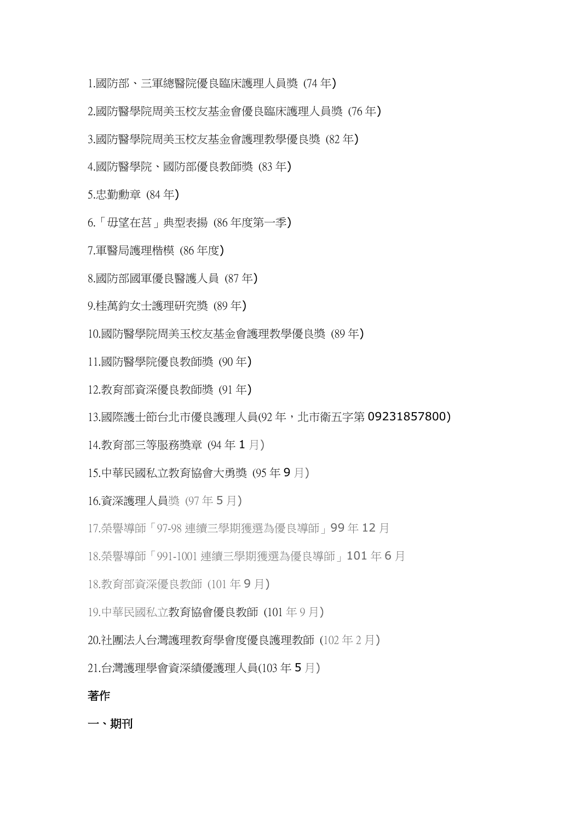1.國防部、三軍總醫院優良臨床護理人員獎 (74 年)

- 2.國防醫學院周美玉校友基金會優良臨床護理人員獎 (76 年)
- 3.國防醫學院周美玉校友基金會護理教學優良獎 (82 年)
- 4.國防醫學院、國防部優良教師獎 (83 年)
- 5.忠勤勳章 (84 年)
- 6.「毋望在莒」典型表揚 (86 年度第一季)
- 7.軍醫局護理楷模 (86 年度)
- 8.國防部國軍優良醫護人員 (87 年)
- 9.桂萬鈞女士護理研究獎 (89 年)
- 10.國防醫學院周美玉校友基金會護理教學優良獎 (89 年)
- 11.國防醫學院優良教師獎 (90 年)
- 12.教育部資深優良教師獎 (91 年)
- 13.國際護士節台北市優良護理人員(92 年,北市衛五字第 09231857800)
- 14.教育部三等服務獎章 (94 年 1 月)
- 15.中華民國私立教育協會大勇獎 (95 年 9 月)
- 16.資深護理人員獎 (97 年 5 月)
- 17.榮譽導師「97-98 連續三學期獲選為優良導師」99 年 12 月
- 18.榮譽導師「991-1001 連續三學期獲選為優良導師」101 年 6 月
- 18.教育部資深優良教師 (101 年 9 月)
- 19.中華民國私立教育協會優良教師 (101 年 9 月)
- 20.社團法人台灣護理教育學會度優良護理教師 (102 年 2 月)
- 21.台灣護理學會資深績優護理人員(103 年 5 月)

#### 著作

一、期刊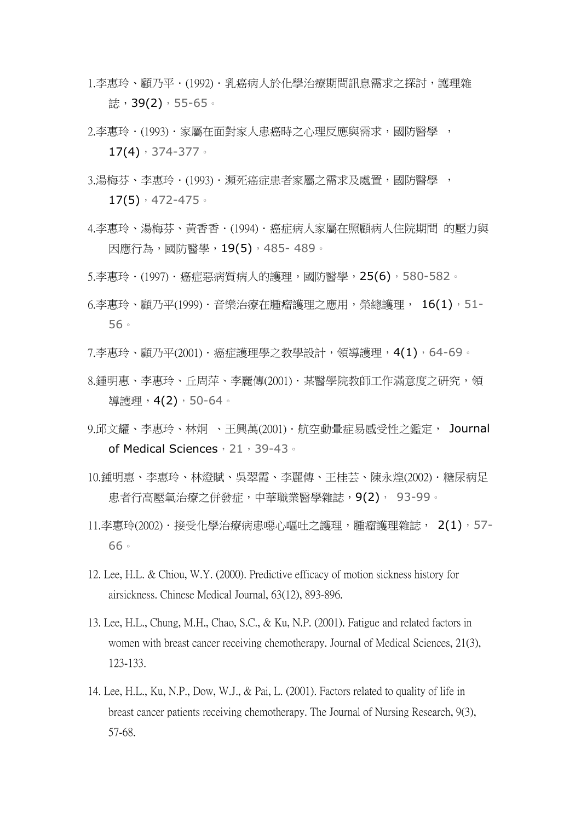- 1.李惠玲、顧乃平.(1992).乳癌病人於什學治療期間訊息需求之探討,護理雜 誌,39(2),55-65。
- 2.李惠玲•(1993)•家屬在面對家人患癌時之心理反應與需求,國防醫學 ,  $17(4)$ , 374-377.
- 3.湯梅芬、李惠玲 · (1993) · 瀕死癌症患者家屬之需求及處置, 國防醫學 ,  $17(5)$ , 472-475.
- 4.李惠玲、湯梅芬、黃香香.(1994).癌症病人家屬在照顧病人住院期間 的壓力與 因應行為,國防醫學,19(5),485- 489。
- 5.李惠玲 · (1997) · 癌症惡病質病人的護理,國防醫學,25(6),580-582。
- 6.李惠玲、顧乃平(1999).音樂治療在腫瘤護理之應用,榮總護理, 16(1), 51-56。
- 7.李惠玲、顧乃平(2001). 癌症護理學之教學設計,領導護理, 4(1), 64-69。
- 8.鍾明惠、李惠玲、丘周萍、李麗傳(2001) · 某醫學院教師工作滿意度之研究,領 導護理, 4(2), 50-64。
- 9.邱文耀、李惠玲、林炯 、王興萬(2001). 航空動暈症易感受性之鑑定, Journal of Medical Sciences, 21, 39-43。
- 10.鍾明惠、李惠玲、林燈賦、吳翠霞、李麗傳、王桂芸、陳永煌(2002). 糖尿病足 患者行高壓氧治療之併發症,中華職業醫學雜誌,9(2), 93-99。
- 11.李惠玲(2002) · 接受化學治療病患噁心嘔吐之護理, 腫瘤護理雜誌, 2(1), 57-66。
- 12. Lee, H.L. & Chiou, W.Y. (2000). Predictive efficacy of motion sickness history for airsickness. Chinese Medical Journal, 63(12), 893-896.
- 13. Lee, H.L., Chung, M.H., Chao, S.C., & Ku, N.P. (2001). Fatigue and related factors in women with breast cancer receiving chemotherapy. Journal of Medical Sciences, 21(3), 123-133.
- 14. Lee, H.L., Ku, N.P., Dow, W.J., & Pai, L. (2001). Factors related to quality of life in breast cancer patients receiving chemotherapy. The Journal of Nursing Research, 9(3), 57-68.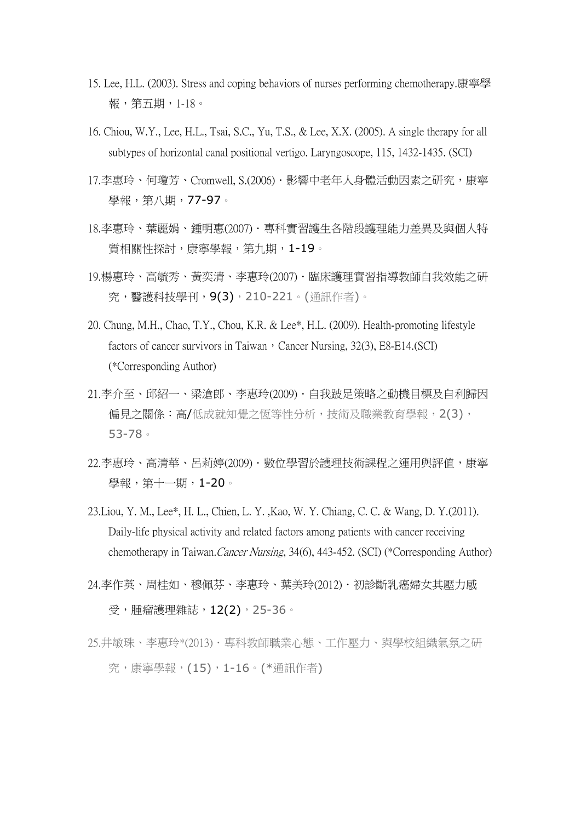- 15. Lee, H.L. (2003). Stress and coping behaviors of nurses performing chemotherapy.康寧學 報,第五期,1-18。
- 16. Chiou, W.Y., Lee, H.L., Tsai, S.C., Yu, T.S., & Lee, X.X. (2005). A single therapy for all subtypes of horizontal canal positional vertigo. Laryngoscope, 115, 1432-1435. (SCI)
- 17.李惠玲、何瓊芳、Cromwell, S.(2006).影響中老年人身體活動因素之研究,康寧 學報,第八期,77-97。
- 18.李惠玲、葉麗娟、鍾明惠(2007).專科實習護生各階段護理能力差異及與個人特 質相關性探討,康寧學報,第九期,1-19。
- 19.楊惠玲、高毓秀、黃奕清、李惠玲(2007) · 臨床護理實習指導教師自我效能之研 究,醫護科技學刊,9(3),210-221。(通訊作者)。
- 20. Chung, M.H., Chao, T.Y., Chou, K.R. & Lee\*, H.L. (2009). Health-promoting lifestyle factors of cancer survivors in Taiwan, Cancer Nursing,  $32(3)$ , E8-E14.(SCI) (\*Corresponding Author)
- 21.李介至、邱紹一、梁滄郎、李惠玲(2009).自我跛足策略之動機目標及自利歸因 偏見之關係:高/低成就知覺之恆等性分析,技術及職業教育學報, 2(3), 53-78。
- 22.李惠玲、高清華、呂莉婷(2009).數位學習於護理技術課程之運用與評值,康寧 學報,第十一期,1-20。
- 23.Liou, Y. M., Lee\*, H. L., Chien, L. Y. ,Kao, W. Y. Chiang, C. C. & Wang, D. Y.(2011). Daily-life physical activity and related factors among patients with cancer receiving chemotherapy in Taiwan.Cancer Nursing, 34(6), 443-452. (SCI) (\*Corresponding Author)
- 24.李作英、周桂如、穆佩芬、李惠玲、葉美玲(2012).初診斷乳癌婦女其壓力感 受, 腫瘤護理雜誌, 12(2), 25-36。
- 25.井敏珠、李惠玲\*(2013) · 專科教師職業心態、工作壓力、與學校組織氣氛之研 究,康寧學報,(15),1-16。(\*通訊作者)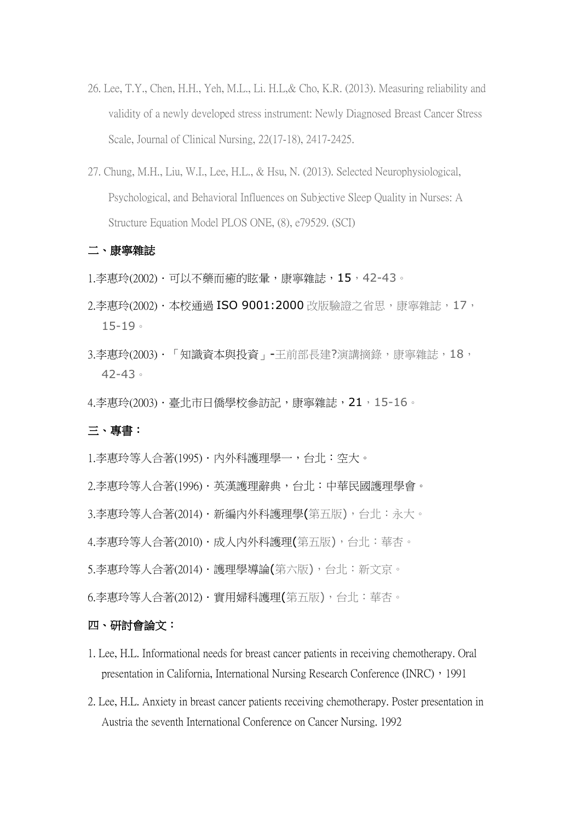- 26. Lee, T.Y., Chen, H.H., Yeh, M.L., Li. H.L,& Cho, K.R. (2013). Measuring reliability and validity of a newly developed stress instrument: Newly Diagnosed Breast Cancer Stress Scale, Journal of Clinical Nursing, 22(17-18), 2417-2425.
- 27. Chung, M.H., Liu, W.I., Lee, H.L., & Hsu, N. (2013). Selected Neurophysiological, Psychological, and Behavioral Influences on Subjective Sleep Quality in Nurses: A Structure Equation Model PLOS ONE, (8), e79529. (SCI)

#### 二、康寧雜誌

- 1.李惠玲(2002) · 可以不藥而癒的眩暈,康寧雜誌, 15, 42-43。
- 2. 李惠玲(2002) · 本校涌過 ISO 9001: 2000 改版驗證之省思,康寧雜誌, 17, 15-19。
- 3.李惠玲(2003) · 「知識資本與投資」-王前部長建?演講摘錄,康寧雜誌,18, 42-43。
- 4.李惠玲(2003) · 臺北市日僑學校參訪記,康寧雜誌, 21, 15-16。

## 三、專書:

- 1.李惠玲等人合著(1995) · 内外科護理學一, 台北: 空大。
- 2.李惠玲等人合著(1996).英漢護理辭典,台北:中華民國護理學會。
- 3.李惠玲等人合著(2014)·新編內外科護理學(第五版),台北:永大。
- 4.李惠玲等人合著(2010) · 成人內外科護理(第五版), 台北: 華杏。
- 5.李惠玲等人合著(2014) · 護理學導論(第六版), 台北: 新文京。
- 6.李惠玲等人合著(2012) · 實用婦科護理(第五版), 台北: 華杏。

#### 四、研討會論文:

- 1. Lee, H.L. Informational needs for breast cancer patients in receiving chemotherapy. Oral presentation in California, International Nursing Research Conference (INRC), 1991
- 2. Lee, H.L. Anxiety in breast cancer patients receiving chemotherapy. Poster presentation in Austria the seventh International Conference on Cancer Nursing. 1992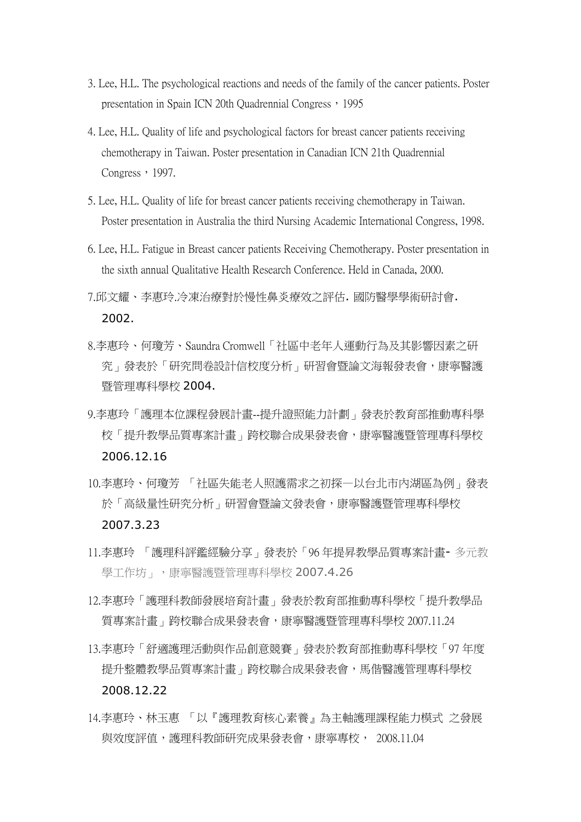- 3. Lee, H.L. The psychological reactions and needs of the family of the cancer patients. Poster presentation in Spain ICN 20th Quadrennial Congress, 1995
- 4. Lee, H.L. Quality of life and psychological factors for breast cancer patients receiving chemotherapy in Taiwan. Poster presentation in Canadian ICN 21th Quadrennial Congress, 1997.
- 5. Lee, H.L. Quality of life for breast cancer patients receiving chemotherapy in Taiwan. Poster presentation in Australia the third Nursing Academic International Congress, 1998.
- 6. Lee, H.L. Fatigue in Breast cancer patients Receiving Chemotherapy. Poster presentation in the sixth annual Qualitative Health Research Conference. Held in Canada, 2000.
- 7.邱文耀、李惠玲.冷凍治療對於慢性鼻炎療效之評估. 國防醫學學術研討會. 2002.
- 8.李惠玲、何瓊芳、Saundra Cromwell「社區中老年人運動行為及其影響因素之研 究」發表於「研究問卷設計信校度分析」研習會暨論文海報發表會,康寧醫護 暨管理專科學校 2004.
- 9.李惠玲「護理本位課程發展計畫--提升證照能力計劃」發表於教育部推動專科學 校「提升教學品質專案計畫」跨校聯合成果發表會,康寧醫護暨管理專科學校 2006.12.16
- 10.李惠玲、何瓊芳 「社區失能老人照護需求之初探—以台北市內湖區為例」發表 於「高級量性研究分析」研習會暨論文發表會,康寧醫護暨管理專科學校 2007.3.23
- 11.李惠玲 「護理科評鑑經驗分享」發表於「96 年提昇教學品質專案計畫- 多元教 學工作坊」,康寧醫護暨管理專科學校 2007.4.26
- 12.李惠玲「護理科教師發展培育計畫」發表於教育部推動專科學校「提升教學品 質專案計畫」跨校聯合成果發表會,康寧醫護暨管理專科學校 2007.11.24
- 13.李惠玲「舒適護理活動與作品創意競賽」發表於教育部推動專科學校「97 年度 提升整體教學品質專案計畫」跨校聯合成果發表會,馬偕醫護管理專科學校 2008.12.22
- 14.李惠玲、林玉惠 「以『護理教育核心素養』為主軸護理課程能力模式 之發展 與效度評值,護理科教師研究成果發表會,康寧專校, 2008.11.04